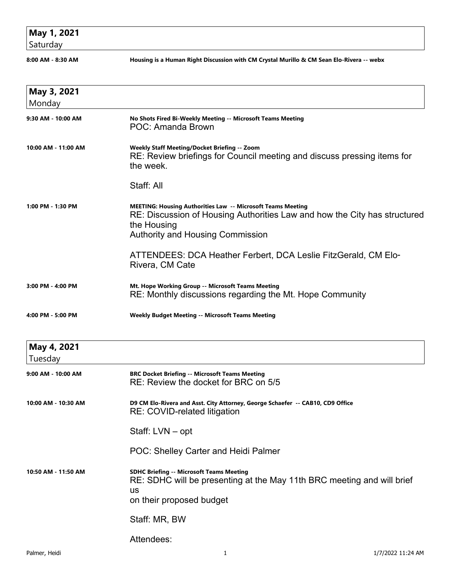## **May 1, 2021**

Saturday

**8:00 AM - 8:30 AM Housing is a Human Right Discussion with CM Crystal Murillo & CM Sean Elo-Rivera -- webx**

| May 3, 2021            |                                                                                                                                                                                                    |
|------------------------|----------------------------------------------------------------------------------------------------------------------------------------------------------------------------------------------------|
| Monday                 |                                                                                                                                                                                                    |
| 9:30 AM - 10:00 AM     | No Shots Fired Bi-Weekly Meeting -- Microsoft Teams Meeting<br>POC: Amanda Brown                                                                                                                   |
| 10:00 AM - 11:00 AM    | Weekly Staff Meeting/Docket Briefing -- Zoom<br>RE: Review briefings for Council meeting and discuss pressing items for<br>the week.                                                               |
|                        | Staff: All                                                                                                                                                                                         |
| 1:00 PM - 1:30 PM      | MEETING: Housing Authorities Law -- Microsoft Teams Meeting<br>RE: Discussion of Housing Authorities Law and how the City has structured<br>the Housing<br><b>Authority and Housing Commission</b> |
|                        | ATTENDEES: DCA Heather Ferbert, DCA Leslie FitzGerald, CM Elo-<br>Rivera, CM Cate                                                                                                                  |
| 3:00 PM - 4:00 PM      | Mt. Hope Working Group -- Microsoft Teams Meeting<br>RE: Monthly discussions regarding the Mt. Hope Community                                                                                      |
| 4:00 PM - 5:00 PM      | <b>Weekly Budget Meeting -- Microsoft Teams Meeting</b>                                                                                                                                            |
| May 4, 2021<br>Tuesday |                                                                                                                                                                                                    |
| 9:00 AM - 10:00 AM     | <b>BRC Docket Briefing -- Microsoft Teams Meeting</b><br>RE: Review the docket for BRC on 5/5                                                                                                      |
| 10:00 AM - 10:30 AM    | D9 CM Elo-Rivera and Asst. City Attorney, George Schaefer -- CAB10, CD9 Office<br><b>RE: COVID-related litigation</b>                                                                              |
|                        | Staff: LVN - opt                                                                                                                                                                                   |
|                        | POC: Shelley Carter and Heidi Palmer                                                                                                                                                               |
| 10:50 AM - 11:50 AM    | <b>SDHC Briefing -- Microsoft Teams Meeting</b><br>RE: SDHC will be presenting at the May 11th BRC meeting and will brief<br><b>us</b><br>on their proposed budget                                 |
|                        | Staff: MR, BW                                                                                                                                                                                      |
|                        | Attendees:                                                                                                                                                                                         |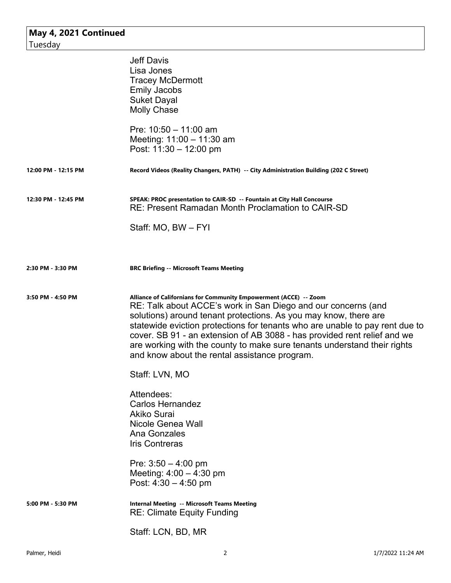| May 4, 2021 Continued<br>Tuesday |                                                                                                                                                                                                                                                                                                                                                                                                                                                                                                 |
|----------------------------------|-------------------------------------------------------------------------------------------------------------------------------------------------------------------------------------------------------------------------------------------------------------------------------------------------------------------------------------------------------------------------------------------------------------------------------------------------------------------------------------------------|
|                                  | <b>Jeff Davis</b><br>Lisa Jones<br><b>Tracey McDermott</b><br><b>Emily Jacobs</b><br><b>Suket Dayal</b><br><b>Molly Chase</b><br>Pre: $10:50 - 11:00$ am<br>Meeting: 11:00 - 11:30 am<br>Post: 11:30 - 12:00 pm                                                                                                                                                                                                                                                                                 |
| 12:00 PM - 12:15 PM              | Record Videos (Reality Changers, PATH) -- City Administration Building (202 C Street)                                                                                                                                                                                                                                                                                                                                                                                                           |
| 12:30 PM - 12:45 PM              | SPEAK: PROC presentation to CAIR-SD -- Fountain at City Hall Concourse<br>RE: Present Ramadan Month Proclamation to CAIR-SD<br>Staff: MO, BW - FYI                                                                                                                                                                                                                                                                                                                                              |
| 2:30 PM - 3:30 PM                | <b>BRC Briefing -- Microsoft Teams Meeting</b>                                                                                                                                                                                                                                                                                                                                                                                                                                                  |
| 3:50 PM - 4:50 PM                | Alliance of Californians for Community Empowerment (ACCE) -- Zoom<br>RE: Talk about ACCE's work in San Diego and our concerns (and<br>solutions) around tenant protections. As you may know, there are<br>statewide eviction protections for tenants who are unable to pay rent due to<br>cover. SB 91 - an extension of AB 3088 - has provided rent relief and we<br>are working with the county to make sure tenants understand their rights<br>and know about the rental assistance program. |
|                                  | Staff: LVN, MO                                                                                                                                                                                                                                                                                                                                                                                                                                                                                  |
|                                  | Attendees:<br><b>Carlos Hernandez</b><br><b>Akiko Surai</b><br>Nicole Genea Wall<br>Ana Gonzales<br><b>Iris Contreras</b>                                                                                                                                                                                                                                                                                                                                                                       |
|                                  | Pre: $3:50 - 4:00$ pm<br>Meeting: $4:00 - 4:30$ pm<br>Post: $4:30 - 4:50$ pm                                                                                                                                                                                                                                                                                                                                                                                                                    |
| 5:00 PM - 5:30 PM                | <b>Internal Meeting -- Microsoft Teams Meeting</b><br><b>RE: Climate Equity Funding</b>                                                                                                                                                                                                                                                                                                                                                                                                         |
|                                  | Staff: LCN, BD, MR                                                                                                                                                                                                                                                                                                                                                                                                                                                                              |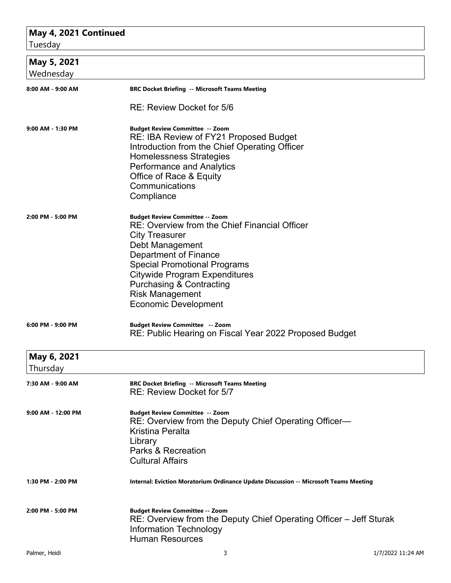## **May 4, 2021 Continued**

| Tuesday                  |                                                                                                                                                                                                                                                                                                                                                    |
|--------------------------|----------------------------------------------------------------------------------------------------------------------------------------------------------------------------------------------------------------------------------------------------------------------------------------------------------------------------------------------------|
| May 5, 2021<br>Wednesday |                                                                                                                                                                                                                                                                                                                                                    |
| 8:00 AM - 9:00 AM        | <b>BRC Docket Briefing -- Microsoft Teams Meeting</b>                                                                                                                                                                                                                                                                                              |
|                          | RE: Review Docket for 5/6                                                                                                                                                                                                                                                                                                                          |
| 9:00 AM - 1:30 PM        | <b>Budget Review Committee -- Zoom</b><br>RE: IBA Review of FY21 Proposed Budget<br>Introduction from the Chief Operating Officer<br><b>Homelessness Strategies</b><br><b>Performance and Analytics</b><br>Office of Race & Equity<br>Communications<br>Compliance                                                                                 |
| 2:00 PM - 5:00 PM        | <b>Budget Review Committee -- Zoom</b><br>RE: Overview from the Chief Financial Officer<br><b>City Treasurer</b><br>Debt Management<br><b>Department of Finance</b><br><b>Special Promotional Programs</b><br><b>Citywide Program Expenditures</b><br><b>Purchasing &amp; Contracting</b><br><b>Risk Management</b><br><b>Economic Development</b> |
| 6:00 PM - 9:00 PM        | <b>Budget Review Committee -- Zoom</b><br>RE: Public Hearing on Fiscal Year 2022 Proposed Budget                                                                                                                                                                                                                                                   |
| May 6, 2021              |                                                                                                                                                                                                                                                                                                                                                    |
| Thursday                 |                                                                                                                                                                                                                                                                                                                                                    |
| 7:30 AM - 9:00 AM        | <b>BRC Docket Briefing -- Microsoft Teams Meeting</b><br>RE: Review Docket for 5/7                                                                                                                                                                                                                                                                 |
| 9:00 AM - 12:00 PM       | <b>Budget Review Committee -- Zoom</b><br>RE: Overview from the Deputy Chief Operating Officer-<br><b>Kristina Peralta</b><br>Library<br><b>Parks &amp; Recreation</b><br><b>Cultural Affairs</b>                                                                                                                                                  |
| 1:30 PM - 2:00 PM        | Internal: Eviction Moratorium Ordinance Update Discussion -- Microsoft Teams Meeting                                                                                                                                                                                                                                                               |
| 2:00 PM - 5:00 PM        | <b>Budget Review Committee -- Zoom</b><br>RE: Overview from the Deputy Chief Operating Officer – Jeff Sturak<br><b>Information Technology</b><br><b>Human Resources</b>                                                                                                                                                                            |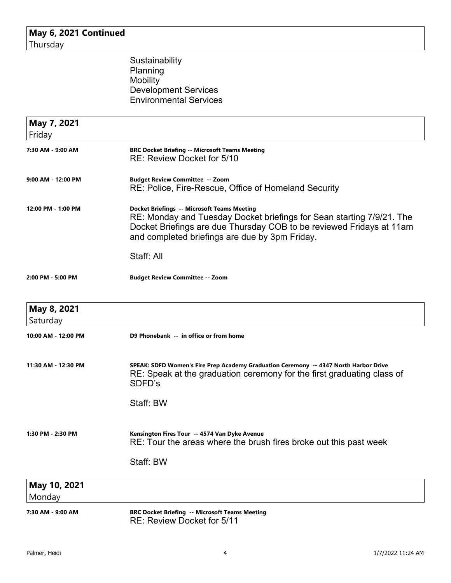**May 6, 2021 Continued** Thursday

> **Sustainability** Planning **Mobility** Development Services Environmental Services

| May 7, 2021             |                                                                                                                                                                                                                                                       |
|-------------------------|-------------------------------------------------------------------------------------------------------------------------------------------------------------------------------------------------------------------------------------------------------|
| Friday                  |                                                                                                                                                                                                                                                       |
| 7:30 AM - 9:00 AM       | <b>BRC Docket Briefing -- Microsoft Teams Meeting</b><br>RE: Review Docket for 5/10                                                                                                                                                                   |
| 9:00 AM - 12:00 PM      | <b>Budget Review Committee -- Zoom</b><br>RE: Police, Fire-Rescue, Office of Homeland Security                                                                                                                                                        |
| 12:00 PM - 1:00 PM      | <b>Docket Briefings -- Microsoft Teams Meeting</b><br>RE: Monday and Tuesday Docket briefings for Sean starting 7/9/21. The<br>Docket Briefings are due Thursday COB to be reviewed Fridays at 11am<br>and completed briefings are due by 3pm Friday. |
|                         | Staff: All                                                                                                                                                                                                                                            |
| 2:00 PM - 5:00 PM       | <b>Budget Review Committee -- Zoom</b>                                                                                                                                                                                                                |
| May 8, 2021<br>Saturday |                                                                                                                                                                                                                                                       |
| 10:00 AM - 12:00 PM     | D9 Phonebank -- in office or from home                                                                                                                                                                                                                |
| 11:30 AM - 12:30 PM     | SPEAK: SDFD Women's Fire Prep Academy Graduation Ceremony -- 4347 North Harbor Drive<br>RE: Speak at the graduation ceremony for the first graduating class of<br>SDFD's                                                                              |
|                         | Staff: BW                                                                                                                                                                                                                                             |
| 1:30 PM - 2:30 PM       | Kensington Fires Tour  -- 4574 Van Dyke Avenue<br>RE: Tour the areas where the brush fires broke out this past week                                                                                                                                   |
|                         | Staff: BW                                                                                                                                                                                                                                             |
| May 10, 2021            |                                                                                                                                                                                                                                                       |
| Monday                  |                                                                                                                                                                                                                                                       |
| 7:30 AM - 9:00 AM       | <b>BRC Docket Briefing -- Microsoft Teams Meeting</b><br>$DT: D$ oviour Dookot for $E/44$                                                                                                                                                             |

RE: Review Docket for 5/11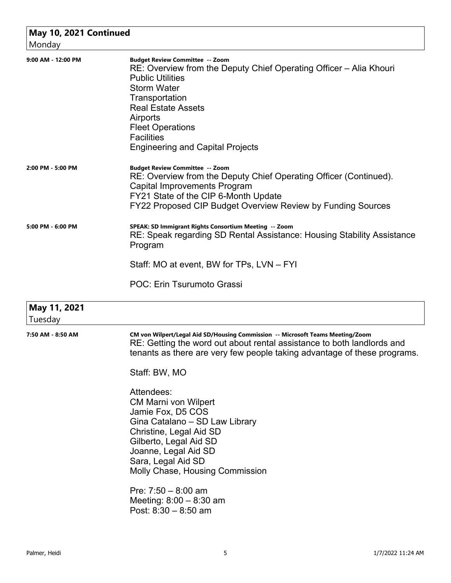| Monday                  | May 10, 2021 Continued                                                                                                                                                                                                                                                                                                                                                                                                                                                                                                                                                          |  |  |
|-------------------------|---------------------------------------------------------------------------------------------------------------------------------------------------------------------------------------------------------------------------------------------------------------------------------------------------------------------------------------------------------------------------------------------------------------------------------------------------------------------------------------------------------------------------------------------------------------------------------|--|--|
| 9:00 AM - 12:00 PM      | <b>Budget Review Committee -- Zoom</b><br>RE: Overview from the Deputy Chief Operating Officer – Alia Khouri<br><b>Public Utilities</b><br><b>Storm Water</b><br>Transportation<br><b>Real Estate Assets</b><br>Airports<br><b>Fleet Operations</b><br><b>Facilities</b><br><b>Engineering and Capital Projects</b>                                                                                                                                                                                                                                                             |  |  |
| 2:00 PM - 5:00 PM       | <b>Budget Review Committee -- Zoom</b><br>RE: Overview from the Deputy Chief Operating Officer (Continued).<br>Capital Improvements Program<br>FY21 State of the CIP 6-Month Update<br>FY22 Proposed CIP Budget Overview Review by Funding Sources                                                                                                                                                                                                                                                                                                                              |  |  |
| 5:00 PM - 6:00 PM       | SPEAK: SD Immigrant Rights Consortium Meeting -- Zoom<br>RE: Speak regarding SD Rental Assistance: Housing Stability Assistance<br>Program<br>Staff: MO at event, BW for TPs, LVN - FYI<br>POC: Erin Tsurumoto Grassi                                                                                                                                                                                                                                                                                                                                                           |  |  |
| May 11, 2021<br>Tuesday |                                                                                                                                                                                                                                                                                                                                                                                                                                                                                                                                                                                 |  |  |
| 7:50 AM - 8:50 AM       | CM von Wilpert/Legal Aid SD/Housing Commission -- Microsoft Teams Meeting/Zoom<br>RE: Getting the word out about rental assistance to both landlords and<br>tenants as there are very few people taking advantage of these programs.<br>Staff: BW, MO<br>Attendees:<br><b>CM Marni von Wilpert</b><br>Jamie Fox, D5 COS<br>Gina Catalano - SD Law Library<br>Christine, Legal Aid SD<br>Gilberto, Legal Aid SD<br>Joanne, Legal Aid SD<br>Sara, Legal Aid SD<br>Molly Chase, Housing Commission<br>Pre: $7:50 - 8:00$ am<br>Meeting: $8:00 - 8:30$ am<br>Post: $8:30 - 8:50$ am |  |  |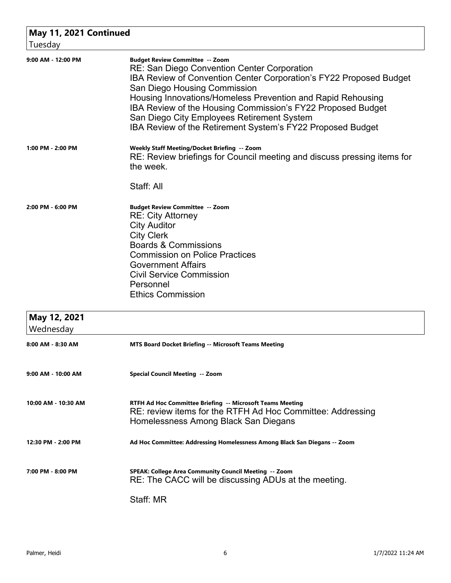| May 11, 2021 Continued    |                                                                                                                                                                                                                                                                                                                                                                                                                                              |
|---------------------------|----------------------------------------------------------------------------------------------------------------------------------------------------------------------------------------------------------------------------------------------------------------------------------------------------------------------------------------------------------------------------------------------------------------------------------------------|
| Tuesday                   |                                                                                                                                                                                                                                                                                                                                                                                                                                              |
| 9:00 AM - 12:00 PM        | <b>Budget Review Committee -- Zoom</b><br><b>RE: San Diego Convention Center Corporation</b><br>IBA Review of Convention Center Corporation's FY22 Proposed Budget<br>San Diego Housing Commission<br>Housing Innovations/Homeless Prevention and Rapid Rehousing<br>IBA Review of the Housing Commission's FY22 Proposed Budget<br>San Diego City Employees Retirement System<br>IBA Review of the Retirement System's FY22 Proposed Budget |
| 1:00 PM - 2:00 PM         | Weekly Staff Meeting/Docket Briefing -- Zoom<br>RE: Review briefings for Council meeting and discuss pressing items for<br>the week.<br>Staff: All                                                                                                                                                                                                                                                                                           |
| 2:00 PM - 6:00 PM         | <b>Budget Review Committee -- Zoom</b><br><b>RE: City Attorney</b><br><b>City Auditor</b><br><b>City Clerk</b><br><b>Boards &amp; Commissions</b><br><b>Commission on Police Practices</b><br><b>Government Affairs</b><br><b>Civil Service Commission</b><br>Personnel<br><b>Ethics Commission</b>                                                                                                                                          |
| May 12, 2021<br>Wednesday |                                                                                                                                                                                                                                                                                                                                                                                                                                              |
| 8:00 AM - 8:30 AM         | <b>MTS Board Docket Briefing -- Microsoft Teams Meeting</b>                                                                                                                                                                                                                                                                                                                                                                                  |
| 9:00 AM - 10:00 AM        | Special Council Meeting -- Zoom                                                                                                                                                                                                                                                                                                                                                                                                              |
| 10:00 AM - 10:30 AM       | RTFH Ad Hoc Committee Briefing -- Microsoft Teams Meeting<br>RE: review items for the RTFH Ad Hoc Committee: Addressing<br>Homelessness Among Black San Diegans                                                                                                                                                                                                                                                                              |
| 12:30 PM - 2:00 PM        | Ad Hoc Committee: Addressing Homelessness Among Black San Diegans -- Zoom                                                                                                                                                                                                                                                                                                                                                                    |
| 7:00 PM - 8:00 PM         | SPEAK: College Area Community Council Meeting -- Zoom<br>RE: The CACC will be discussing ADUs at the meeting.<br>Staff: MR                                                                                                                                                                                                                                                                                                                   |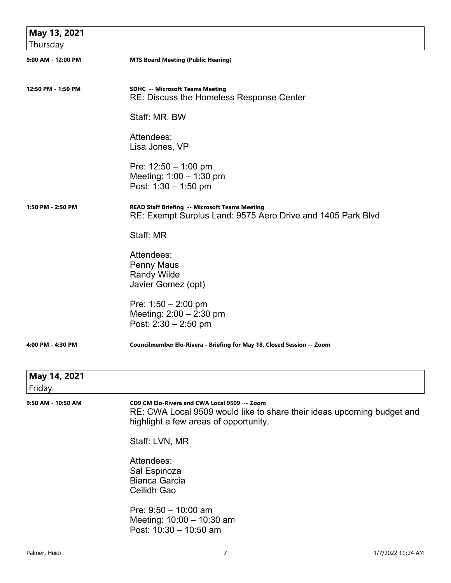| May 13, 2021<br>Thursday |                                                                                                                                                                 |
|--------------------------|-----------------------------------------------------------------------------------------------------------------------------------------------------------------|
| 9:00 AM - 12:00 PM       | <b>MTS Board Meeting (Public Hearing)</b>                                                                                                                       |
| 12:50 PM - 1:50 PM       | <b>SDHC -- Microsoft Teams Meeting</b><br><b>RE: Discuss the Homeless Response Center</b>                                                                       |
|                          | Staff: MR, BW                                                                                                                                                   |
|                          | Attendees:<br>Lisa Jones, VP                                                                                                                                    |
|                          | Pre: $12:50 - 1:00$ pm<br>Meeting: $1:00 - 1:30$ pm<br>Post: $1:30 - 1:50$ pm                                                                                   |
| 1:50 PM - 2:50 PM        | <b>READ Staff Briefing -- Microsoft Teams Meeting</b><br>RE: Exempt Surplus Land: 9575 Aero Drive and 1405 Park Blvd                                            |
|                          | Staff: MR                                                                                                                                                       |
|                          | Attendees:<br><b>Penny Maus</b><br><b>Randy Wilde</b><br>Javier Gomez (opt)                                                                                     |
|                          | Pre: $1:50 - 2:00$ pm<br>Meeting: $2:00 - 2:30$ pm<br>Post: $2:30 - 2:50$ pm                                                                                    |
| 4:00 PM - 4:30 PM        | Councilmember Elo-Rivera - Briefing for May 18, Closed Session -- Zoom                                                                                          |
| May 14, 2021<br>Friday   |                                                                                                                                                                 |
| 9:50 AM - 10:50 AM       | CD9 CM Elo-Rivera and CWA Local 9509 -- Zoom<br>RE: CWA Local 9509 would like to share their ideas upcoming budget and<br>highlight a few areas of opportunity. |
|                          | Staff: LVN, MR                                                                                                                                                  |
|                          | Attendees:<br>Sal Espinoza<br><b>Bianca Garcia</b><br>Ceilidh Gao                                                                                               |
|                          | Pre: $9:50 - 10:00$ am<br>Meeting: 10:00 - 10:30 am<br>Post: 10:30 - 10:50 am                                                                                   |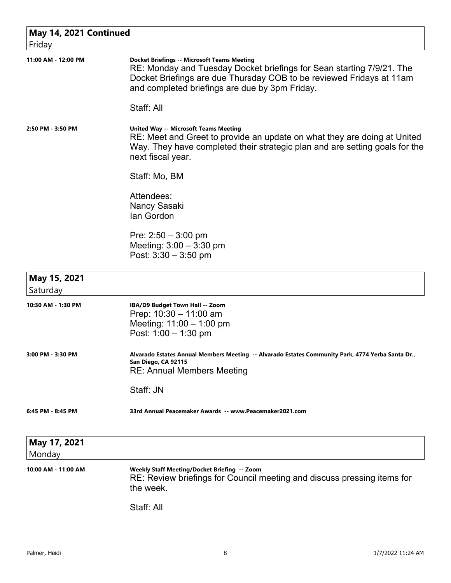| May 14, 2021 Continued<br>Friday |                                                                                                                                                                                                                                                       |
|----------------------------------|-------------------------------------------------------------------------------------------------------------------------------------------------------------------------------------------------------------------------------------------------------|
| 11:00 AM - 12:00 PM              | <b>Docket Briefings -- Microsoft Teams Meeting</b><br>RE: Monday and Tuesday Docket briefings for Sean starting 7/9/21. The<br>Docket Briefings are due Thursday COB to be reviewed Fridays at 11am<br>and completed briefings are due by 3pm Friday. |
|                                  | Staff: All                                                                                                                                                                                                                                            |
| 2:50 PM - 3:50 PM                | <b>United Way -- Microsoft Teams Meeting</b><br>RE: Meet and Greet to provide an update on what they are doing at United<br>Way. They have completed their strategic plan and are setting goals for the<br>next fiscal year.                          |
|                                  | Staff: Mo, BM                                                                                                                                                                                                                                         |
|                                  | Attendees:<br>Nancy Sasaki<br>lan Gordon                                                                                                                                                                                                              |
|                                  | Pre: $2:50 - 3:00$ pm<br>Meeting: $3:00 - 3:30$ pm<br>Post: $3:30 - 3:50$ pm                                                                                                                                                                          |
| May 15, 2021<br>Saturday         |                                                                                                                                                                                                                                                       |
| 10:30 AM - 1:30 PM               | IBA/D9 Budget Town Hall -- Zoom<br>Prep: $10:30 - 11:00$ am<br>Meeting: $11:00 - 1:00$ pm<br>Post: $1:00 - 1:30$ pm                                                                                                                                   |
| 3:00 PM - 3:30 PM                | Alvarado Estates Annual Members Meeting  -- Alvarado Estates Community Park, 4774 Yerba Santa Dr.<br>San Diego, CA 92115<br><b>RE: Annual Members Meeting</b>                                                                                         |
|                                  | Staff: JN                                                                                                                                                                                                                                             |
| 6:45 PM - 8:45 PM                | 33rd Annual Peacemaker Awards -- www.Peacemaker2021.com                                                                                                                                                                                               |
| May 17, 2021<br>Monday           |                                                                                                                                                                                                                                                       |
| 10:00 AM - 11:00 AM              | Weekly Staff Meeting/Docket Briefing -- Zoom<br>RE: Review briefings for Council meeting and discuss pressing items for<br>the week.                                                                                                                  |
|                                  | Staff: All                                                                                                                                                                                                                                            |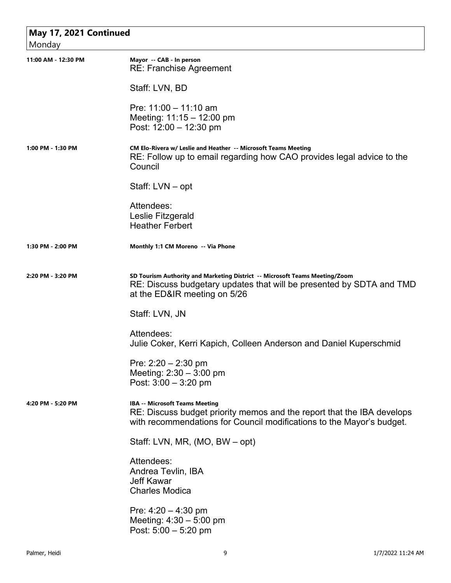## **May 17, 2021 Continued** Monday **11:00 AM - 12:30 PM Mayor -- CAB - In person** RE: Franchise Agreement Staff: LVN, BD Pre: 11:00 – 11:10 am Meeting: 11:15 – 12:00 pm Post: 12:00 – 12:30 pm **1:00 PM - 1:30 PM CM Elo-Rivera w/ Leslie and Heather -- Microsoft Teams Meeting** RE: Follow up to email regarding how CAO provides legal advice to the **Council** Staff: LVN – opt Attendees: Leslie Fitzgerald Heather Ferbert **1:30 PM - 2:00 PM Monthly 1:1 CM Moreno -- Via Phone 2:20 PM - 3:20 PM SD Tourism Authority and Marketing District -- Microsoft Teams Meeting/Zoom** RE: Discuss budgetary updates that will be presented by SDTA and TMD at the ED&IR meeting on 5/26 Staff: LVN, JN Attendees: Julie Coker, Kerri Kapich, Colleen Anderson and Daniel Kuperschmid Pre: 2:20 – 2:30 pm Meeting: 2:30 – 3:00 pm Post: 3:00 – 3:20 pm **4:20 PM - 5:20 PM IBA -- Microsoft Teams Meeting** RE: Discuss budget priority memos and the report that the IBA develops with recommendations for Council modifications to the Mayor's budget. Staff: LVN, MR, (MO, BW – opt) Attendees: Andrea Tevlin, IBA Jeff Kawar Charles Modica Pre: 4:20 – 4:30 pm Meeting: 4:30 – 5:00 pm Post: 5:00 – 5:20 pm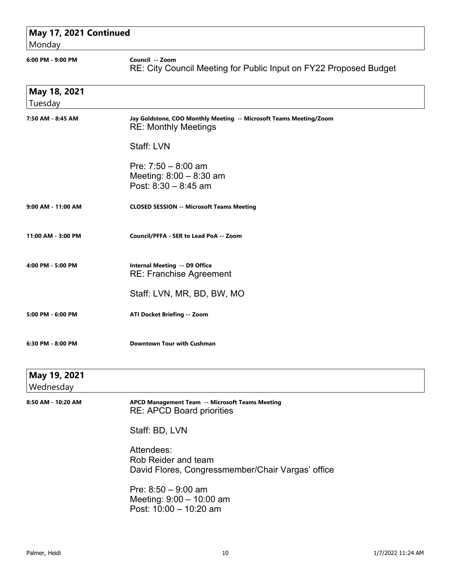| May 17, 2021 Continued<br>Monday |                                                                                                   |  |
|----------------------------------|---------------------------------------------------------------------------------------------------|--|
| 6:00 PM - 9:00 PM                | Council -- Zoom<br>RE: City Council Meeting for Public Input on FY22 Proposed Budget              |  |
| May 18, 2021<br>Tuesday          |                                                                                                   |  |
| 7:50 AM - 8:45 AM                | Jay Goldstone, COO Monthly Meeting -- Microsoft Teams Meeting/Zoom<br><b>RE: Monthly Meetings</b> |  |
|                                  | Staff: LVN                                                                                        |  |
|                                  | Pre: $7:50 - 8:00$ am<br>Meeting: $8:00 - 8:30$ am<br>Post: $8:30 - 8:45$ am                      |  |
| 9:00 AM - 11:00 AM               | <b>CLOSED SESSION -- Microsoft Teams Meeting</b>                                                  |  |
| 11:00 AM - 3:00 PM               | Council/PFFA - SER to Lead PoA -- Zoom                                                            |  |
| 4:00 PM - 5:00 PM                | <b>Internal Meeting -- D9 Office</b><br><b>RE: Franchise Agreement</b>                            |  |
|                                  | Staff: LVN, MR, BD, BW, MO                                                                        |  |
| 5:00 PM - 6:00 PM                | <b>ATI Docket Briefing -- Zoom</b>                                                                |  |
| 6:30 PM - 8:00 PM                | Downtown Tour with Cushman                                                                        |  |
| May 19, 2021<br>Wednesday        |                                                                                                   |  |
| 8:50 AM - 10:20 AM               | APCD Management Team -- Microsoft Teams Meeting<br><b>RE: APCD Board priorities</b>               |  |
|                                  | Staff: BD, LVN                                                                                    |  |
|                                  | Attendees:<br>Rob Reider and team<br>David Flores, Congressmember/Chair Vargas' office            |  |
|                                  | Pre: $8:50 - 9:00$ am<br>Meeting: $9:00 - 10:00$ am<br>Post: 10:00 - 10:20 am                     |  |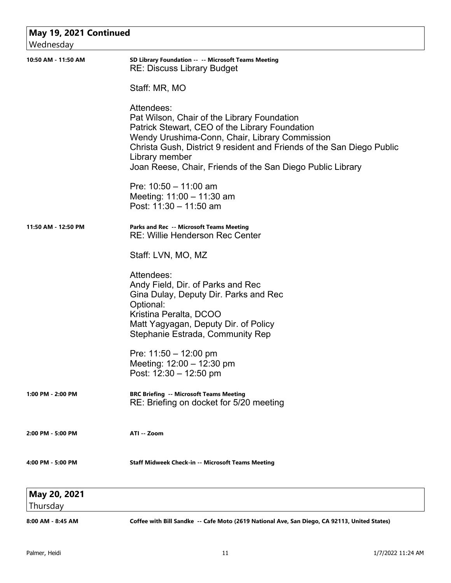| May 19, 2021 Continued<br>Wednesday |                                                                                                                                                                                                                                                                                                                        |
|-------------------------------------|------------------------------------------------------------------------------------------------------------------------------------------------------------------------------------------------------------------------------------------------------------------------------------------------------------------------|
| 10:50 AM - 11:50 AM                 | SD Library Foundation -- -- Microsoft Teams Meeting<br><b>RE: Discuss Library Budget</b>                                                                                                                                                                                                                               |
|                                     | Staff: MR, MO                                                                                                                                                                                                                                                                                                          |
|                                     | Attendees:<br>Pat Wilson, Chair of the Library Foundation<br>Patrick Stewart, CEO of the Library Foundation<br>Wendy Urushima-Conn, Chair, Library Commission<br>Christa Gush, District 9 resident and Friends of the San Diego Public<br>Library member<br>Joan Reese, Chair, Friends of the San Diego Public Library |
|                                     | Pre: $10:50 - 11:00$ am<br>Meeting: $11:00 - 11:30$ am<br>Post: 11:30 - 11:50 am                                                                                                                                                                                                                                       |
| 11:50 AM - 12:50 PM                 | Parks and Rec -- Microsoft Teams Meeting<br><b>RE: Willie Henderson Rec Center</b>                                                                                                                                                                                                                                     |
|                                     | Staff: LVN, MO, MZ                                                                                                                                                                                                                                                                                                     |
|                                     | Attendees:<br>Andy Field, Dir. of Parks and Rec<br>Gina Dulay, Deputy Dir. Parks and Rec<br>Optional:<br>Kristina Peralta, DCOO<br>Matt Yagyagan, Deputy Dir. of Policy<br>Stephanie Estrada, Community Rep                                                                                                            |
|                                     | Pre: 11:50 - 12:00 pm<br>Meeting: $12:00 - 12:30$ pm<br>Post: $12:30 - 12:50$ pm                                                                                                                                                                                                                                       |
| 1:00 PM - 2:00 PM                   | <b>BRC Briefing -- Microsoft Teams Meeting</b><br>RE: Briefing on docket for 5/20 meeting                                                                                                                                                                                                                              |
| 2:00 PM - 5:00 PM                   | ATI -- Zoom                                                                                                                                                                                                                                                                                                            |
| 4:00 PM - 5:00 PM                   | <b>Staff Midweek Check-in -- Microsoft Teams Meeting</b>                                                                                                                                                                                                                                                               |
| May 20, 2021                        |                                                                                                                                                                                                                                                                                                                        |
| Thursday                            |                                                                                                                                                                                                                                                                                                                        |
| 8:00 AM - 8:45 AM                   | Coffee with Bill Sandke -- Cafe Moto (2619 National Ave, San Diego, CA 92113, United States)                                                                                                                                                                                                                           |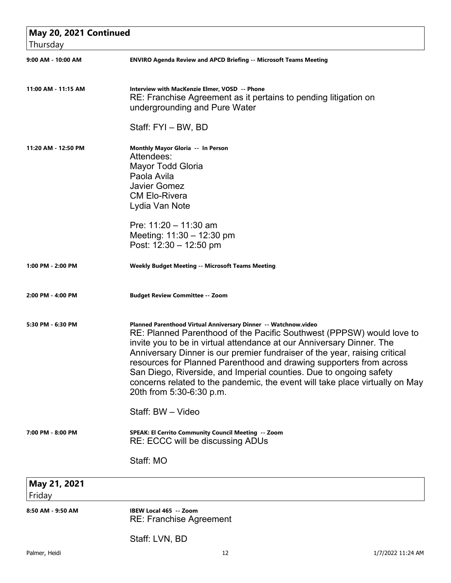| May 20, 2021 Continued<br>Thursday |                                                                                                                                                                                                                                                                                                                                                                                                                                                                                                                                                          |
|------------------------------------|----------------------------------------------------------------------------------------------------------------------------------------------------------------------------------------------------------------------------------------------------------------------------------------------------------------------------------------------------------------------------------------------------------------------------------------------------------------------------------------------------------------------------------------------------------|
| 9:00 AM - 10:00 AM                 | <b>ENVIRO Agenda Review and APCD Briefing -- Microsoft Teams Meeting</b>                                                                                                                                                                                                                                                                                                                                                                                                                                                                                 |
| 11:00 AM - 11:15 AM                | Interview with MacKenzie Elmer, VOSD -- Phone<br>RE: Franchise Agreement as it pertains to pending litigation on<br>undergrounding and Pure Water                                                                                                                                                                                                                                                                                                                                                                                                        |
|                                    | Staff: FYI - BW, BD                                                                                                                                                                                                                                                                                                                                                                                                                                                                                                                                      |
| 11:20 AM - 12:50 PM                | Monthly Mayor Gloria -- In Person<br>Attendees:<br><b>Mayor Todd Gloria</b><br>Paola Avila<br><b>Javier Gomez</b><br><b>CM Elo-Rivera</b><br>Lydia Van Note                                                                                                                                                                                                                                                                                                                                                                                              |
|                                    | Pre: $11:20 - 11:30$ am<br>Meeting: $11:30 - 12:30$ pm<br>Post: $12:30 - 12:50$ pm                                                                                                                                                                                                                                                                                                                                                                                                                                                                       |
| 1:00 PM - 2:00 PM                  | <b>Weekly Budget Meeting -- Microsoft Teams Meeting</b>                                                                                                                                                                                                                                                                                                                                                                                                                                                                                                  |
| 2:00 PM - 4:00 PM                  | <b>Budget Review Committee -- Zoom</b>                                                                                                                                                                                                                                                                                                                                                                                                                                                                                                                   |
| 5:30 PM - 6:30 PM                  | Planned Parenthood Virtual Anniversary Dinner -- Watchnow.video<br>RE: Planned Parenthood of the Pacific Southwest (PPPSW) would love to<br>invite you to be in virtual attendance at our Anniversary Dinner. The<br>Anniversary Dinner is our premier fundraiser of the year, raising critical<br>resources for Planned Parenthood and drawing supporters from across<br>San Diego, Riverside, and Imperial counties. Due to ongoing safety<br>concerns related to the pandemic, the event will take place virtually on May<br>20th from 5:30-6:30 p.m. |
|                                    | Staff: BW - Video                                                                                                                                                                                                                                                                                                                                                                                                                                                                                                                                        |
| 7:00 PM - 8:00 PM                  | SPEAK: El Cerrito Community Council Meeting -- Zoom<br>RE: ECCC will be discussing ADUs                                                                                                                                                                                                                                                                                                                                                                                                                                                                  |
|                                    | Staff: MO                                                                                                                                                                                                                                                                                                                                                                                                                                                                                                                                                |
| May 21, 2021<br>Friday             |                                                                                                                                                                                                                                                                                                                                                                                                                                                                                                                                                          |
| 8:50 AM - 9:50 AM                  | IBEW Local 465 -- Zoom<br><b>RE: Franchise Agreement</b>                                                                                                                                                                                                                                                                                                                                                                                                                                                                                                 |

Staff: LVN, BD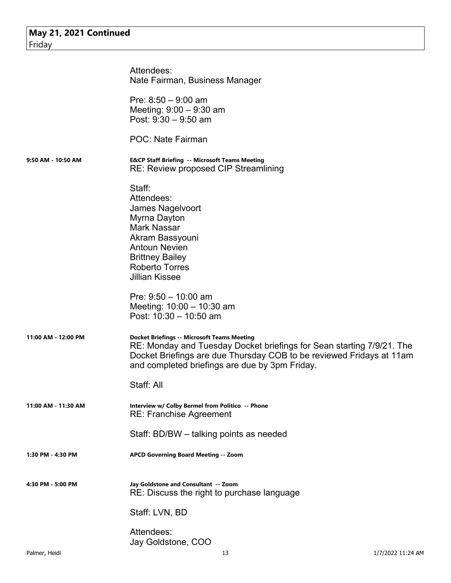|                     | Attendees:<br>Nate Fairman, Business Manager                                                                                                                                                                                                          |
|---------------------|-------------------------------------------------------------------------------------------------------------------------------------------------------------------------------------------------------------------------------------------------------|
|                     | Pre: $8:50 - 9:00$ am<br>Meeting: $9:00 - 9:30$ am<br>Post: $9:30 - 9:50$ am                                                                                                                                                                          |
|                     | <b>POC: Nate Fairman</b>                                                                                                                                                                                                                              |
| 9:50 AM - 10:50 AM  | <b>E&amp;CP Staff Briefing -- Microsoft Teams Meeting</b><br><b>RE: Review proposed CIP Streamlining</b>                                                                                                                                              |
|                     | Staff:<br>Attendees:<br>James Nagelvoort<br>Myrna Dayton<br><b>Mark Nassar</b><br>Akram Bassyouni<br><b>Antoun Nevien</b><br><b>Brittney Bailey</b><br><b>Roberto Torres</b><br><b>Jillian Kissee</b>                                                 |
|                     | Pre: $9:50 - 10:00$ am<br>Meeting: 10:00 - 10:30 am<br>Post: 10:30 - 10:50 am                                                                                                                                                                         |
| 11:00 AM - 12:00 PM | <b>Docket Briefings -- Microsoft Teams Meeting</b><br>RE: Monday and Tuesday Docket briefings for Sean starting 7/9/21. The<br>Docket Briefings are due Thursday COB to be reviewed Fridays at 11am<br>and completed briefings are due by 3pm Friday. |
|                     | Staff: All                                                                                                                                                                                                                                            |
| 11:00 AM - 11:30 AM | Interview w/ Colby Bermel from Politico -- Phone<br><b>RE: Franchise Agreement</b>                                                                                                                                                                    |
|                     | Staff: BD/BW – talking points as needed                                                                                                                                                                                                               |
| 1:30 PM - 4:30 PM   | APCD Governing Board Meeting -- Zoom                                                                                                                                                                                                                  |
| 4:30 PM - 5:00 PM   | Jay Goldstone and Consultant -- Zoom<br>RE: Discuss the right to purchase language                                                                                                                                                                    |
|                     | Staff: LVN, BD                                                                                                                                                                                                                                        |
|                     | Attendees:<br>Jay Goldstone, COO                                                                                                                                                                                                                      |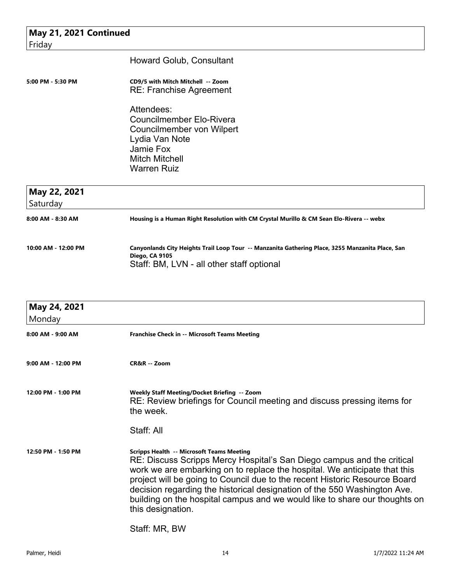| May 21, 2021 Continued   |                                                                                                                                                          |  |
|--------------------------|----------------------------------------------------------------------------------------------------------------------------------------------------------|--|
| Friday                   |                                                                                                                                                          |  |
|                          | Howard Golub, Consultant                                                                                                                                 |  |
| 5:00 PM - 5:30 PM        | CD9/5 with Mitch Mitchell -- Zoom<br><b>RE: Franchise Agreement</b>                                                                                      |  |
|                          | Attendees:<br><b>Councilmember Elo-Rivera</b><br>Councilmember von Wilpert<br>Lydia Van Note<br>Jamie Fox<br><b>Mitch Mitchell</b><br><b>Warren Ruiz</b> |  |
| May 22, 2021<br>Saturdav |                                                                                                                                                          |  |

| Saturday            |                                                                                                                                                                        |
|---------------------|------------------------------------------------------------------------------------------------------------------------------------------------------------------------|
| 8:00 AM - 8:30 AM   | Housing is a Human Right Resolution with CM Crystal Murillo & CM Sean Elo-Rivera -- webx                                                                               |
| 10:00 AM - 12:00 PM | Canyonlands City Heights Trail Loop Tour -- Manzanita Gathering Place, 3255 Manzanita Place, San<br><b>Diego, CA 9105</b><br>Staff: BM, LVN - all other staff optional |

| May 24, 2021          |                                                                                                                                                                                                                                                                                                                                                                                                                                                                      |
|-----------------------|----------------------------------------------------------------------------------------------------------------------------------------------------------------------------------------------------------------------------------------------------------------------------------------------------------------------------------------------------------------------------------------------------------------------------------------------------------------------|
| Monday                |                                                                                                                                                                                                                                                                                                                                                                                                                                                                      |
| $8:00$ AM - $9:00$ AM | <b>Franchise Check in -- Microsoft Teams Meeting</b>                                                                                                                                                                                                                                                                                                                                                                                                                 |
| $9:00$ AM - 12:00 PM  | CR&R -- Zoom                                                                                                                                                                                                                                                                                                                                                                                                                                                         |
| 12:00 PM - 1:00 PM    | Weekly Staff Meeting/Docket Briefing -- Zoom<br>RE: Review briefings for Council meeting and discuss pressing items for<br>the week.                                                                                                                                                                                                                                                                                                                                 |
|                       | Staff: All                                                                                                                                                                                                                                                                                                                                                                                                                                                           |
| 12:50 PM - 1:50 PM    | <b>Scripps Health -- Microsoft Teams Meeting</b><br>RE: Discuss Scripps Mercy Hospital's San Diego campus and the critical<br>work we are embarking on to replace the hospital. We anticipate that this<br>project will be going to Council due to the recent Historic Resource Board<br>decision regarding the historical designation of the 550 Washington Ave.<br>building on the hospital campus and we would like to share our thoughts on<br>this designation. |
|                       | Staff: MR, BW                                                                                                                                                                                                                                                                                                                                                                                                                                                        |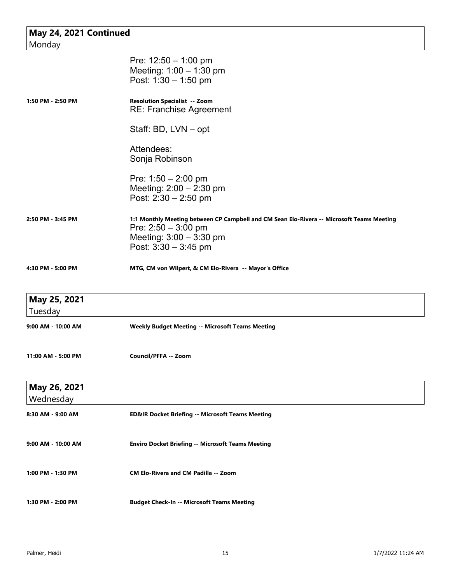| May 24, 2021 Continued<br>Monday |                                                                                                                                                                           |
|----------------------------------|---------------------------------------------------------------------------------------------------------------------------------------------------------------------------|
|                                  | Pre: $12:50 - 1:00$ pm<br>Meeting: $1:00 - 1:30$ pm<br>Post: $1:30 - 1:50$ pm                                                                                             |
| 1:50 PM - 2:50 PM                | <b>Resolution Specialist -- Zoom</b><br><b>RE: Franchise Agreement</b>                                                                                                    |
|                                  | Staff: BD, LVN - opt                                                                                                                                                      |
|                                  | Attendees:<br>Sonja Robinson                                                                                                                                              |
|                                  | Pre: $1:50 - 2:00$ pm<br>Meeting: 2:00 - 2:30 pm<br>Post: 2:30 - 2:50 pm                                                                                                  |
| 2:50 PM - 3:45 PM                | 1:1 Monthly Meeting between CP Campbell and CM Sean Elo-Rivera -- Microsoft Teams Meeting<br>Pre: $2:50 - 3:00$ pm<br>Meeting: $3:00 - 3:30$ pm<br>Post: $3:30 - 3:45$ pm |
| 4:30 PM - 5:00 PM                | MTG, CM von Wilpert, & CM Elo-Rivera -- Mayor's Office                                                                                                                    |
| May 25, 2021<br>Tuesday          |                                                                                                                                                                           |
| 9:00 AM - 10:00 AM               | <b>Weekly Budget Meeting -- Microsoft Teams Meeting</b>                                                                                                                   |
| 11:00 AM - 5:00 PM               | Council/PFFA -- Zoom                                                                                                                                                      |
| May 26, 2021<br>Wednesday        |                                                                                                                                                                           |
| 8:30 AM - 9:00 AM                | <b>ED&amp;IR Docket Briefing -- Microsoft Teams Meeting</b>                                                                                                               |
| 9:00 AM - 10:00 AM               | <b>Enviro Docket Briefing -- Microsoft Teams Meeting</b>                                                                                                                  |
| 1:00 PM - 1:30 PM                | <b>CM Elo-Rivera and CM Padilla -- Zoom</b>                                                                                                                               |
| 1:30 PM - 2:00 PM                | <b>Budget Check-In -- Microsoft Teams Meeting</b>                                                                                                                         |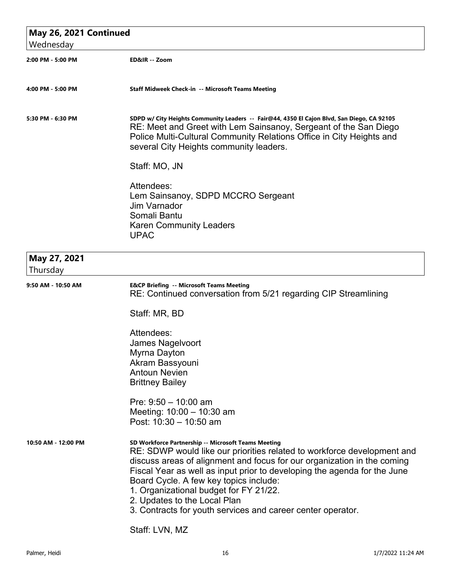| May 26, 2021 Continued   |                                                                                                                                                                                                                                                                                                                                                                                                                                                                          |  |
|--------------------------|--------------------------------------------------------------------------------------------------------------------------------------------------------------------------------------------------------------------------------------------------------------------------------------------------------------------------------------------------------------------------------------------------------------------------------------------------------------------------|--|
| Wednesday                |                                                                                                                                                                                                                                                                                                                                                                                                                                                                          |  |
| 2:00 PM - 5:00 PM        | ED&IR -- Zoom                                                                                                                                                                                                                                                                                                                                                                                                                                                            |  |
| 4:00 PM - 5:00 PM        | Staff Midweek Check-in -- Microsoft Teams Meeting                                                                                                                                                                                                                                                                                                                                                                                                                        |  |
| 5:30 PM - 6:30 PM        | SDPD w/ City Heights Community Leaders -- Fair@44, 4350 El Cajon Blvd, San Diego, CA 92105<br>RE: Meet and Greet with Lem Sainsanoy, Sergeant of the San Diego<br>Police Multi-Cultural Community Relations Office in City Heights and<br>several City Heights community leaders.                                                                                                                                                                                        |  |
|                          | Staff: MO, JN                                                                                                                                                                                                                                                                                                                                                                                                                                                            |  |
|                          | Attendees:<br>Lem Sainsanoy, SDPD MCCRO Sergeant<br><b>Jim Varnador</b><br>Somali Bantu<br><b>Karen Community Leaders</b><br><b>UPAC</b>                                                                                                                                                                                                                                                                                                                                 |  |
| May 27, 2021<br>Thursday |                                                                                                                                                                                                                                                                                                                                                                                                                                                                          |  |
| 9:50 AM - 10:50 AM       | <b>E&amp;CP Briefing -- Microsoft Teams Meeting</b><br>RE: Continued conversation from 5/21 regarding CIP Streamlining                                                                                                                                                                                                                                                                                                                                                   |  |
|                          | Staff: MR, BD                                                                                                                                                                                                                                                                                                                                                                                                                                                            |  |
|                          | Attendees:<br>James Nagelvoort<br>Myrna Dayton<br>Akram Bassyouni<br><b>Antoun Nevien</b><br><b>Brittney Bailey</b>                                                                                                                                                                                                                                                                                                                                                      |  |
|                          | Pre: $9:50 - 10:00$ am<br>Meeting: $10:00 - 10:30$ am<br>Post: 10:30 - 10:50 am                                                                                                                                                                                                                                                                                                                                                                                          |  |
| 10:50 AM - 12:00 PM      | SD Workforce Partnership -- Microsoft Teams Meeting<br>RE: SDWP would like our priorities related to workforce development and<br>discuss areas of alignment and focus for our organization in the coming<br>Fiscal Year as well as input prior to developing the agenda for the June<br>Board Cycle. A few key topics include:<br>1. Organizational budget for FY 21/22.<br>2. Updates to the Local Plan<br>3. Contracts for youth services and career center operator. |  |
|                          | Staff: LVN, MZ                                                                                                                                                                                                                                                                                                                                                                                                                                                           |  |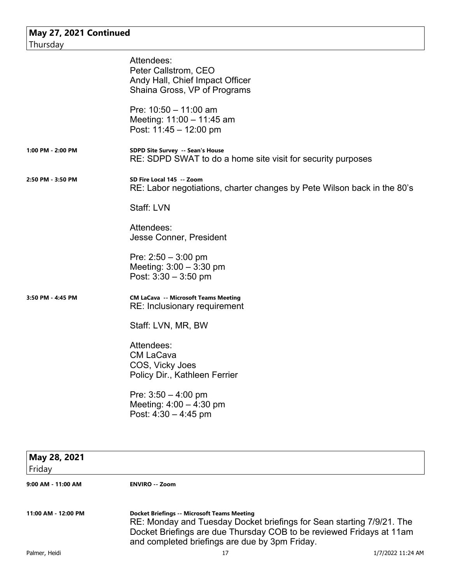|                    | Attendees:<br>Peter Callstrom, CEO<br>Andy Hall, Chief Impact Officer                                |
|--------------------|------------------------------------------------------------------------------------------------------|
|                    | Shaina Gross, VP of Programs<br>Pre: $10:50 - 11:00$ am                                              |
|                    | Meeting: 11:00 - 11:45 am<br>Post: 11:45 - 12:00 pm                                                  |
| 1:00 PM - 2:00 PM  | SDPD Site Survey -- Sean's House<br>RE: SDPD SWAT to do a home site visit for security purposes      |
| 2:50 PM - 3:50 PM  | SD Fire Local 145 -- Zoom<br>RE: Labor negotiations, charter changes by Pete Wilson back in the 80's |
|                    | Staff: LVN                                                                                           |
|                    | Attendees:<br>Jesse Conner, President                                                                |
|                    | Pre: $2:50 - 3:00$ pm<br>Meeting: $3:00 - 3:30$ pm<br>Post: $3:30 - 3:50$ pm                         |
| 3:50 PM - 4:45 PM  | <b>CM LaCava -- Microsoft Teams Meeting</b><br>RE: Inclusionary requirement                          |
|                    | Staff: LVN, MR, BW                                                                                   |
|                    | Attendees:                                                                                           |
|                    | <b>CM LaCava</b><br>COS, Vicky Joes                                                                  |
|                    | Policy Dir., Kathleen Ferrier                                                                        |
|                    | Pre: $3:50 - 4:00$ pm<br>Meeting: $4:00 - 4:30$ pm<br>Post: $4:30 - 4:45$ pm                         |
|                    |                                                                                                      |
| May 28, 2021       |                                                                                                      |
| Friday             |                                                                                                      |
| 9:00 AM - 11:00 AM | <b>ENVIRO -- Zoom</b>                                                                                |

**11:00 AM - 12:00 PM Docket Briefings -- Microsoft Teams Meeting** RE: Monday and Tuesday Docket briefings for Sean starting 7/9/21. The Docket Briefings are due Thursday COB to be reviewed Fridays at 11am and completed briefings are due by 3pm Friday.